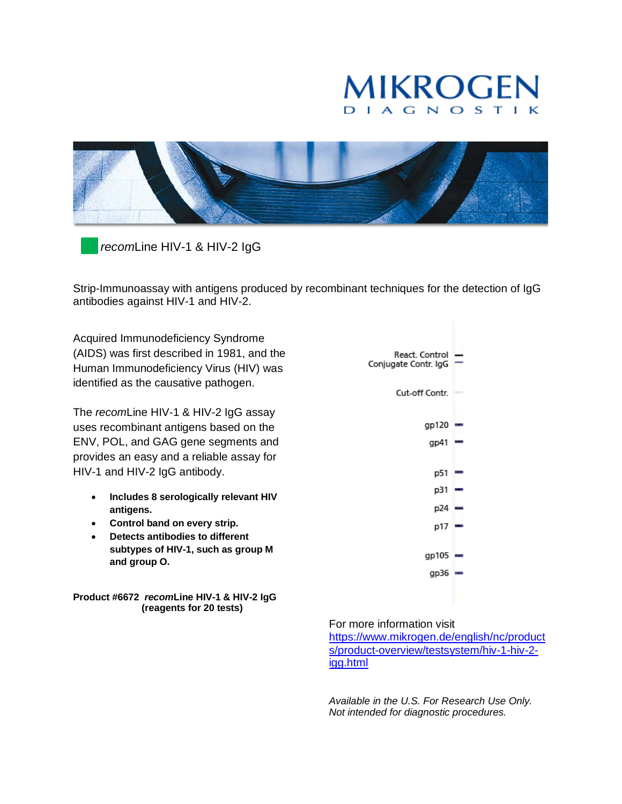# MIKROGEN **DIAGNOS**



*recom*Line HIV-1 & HIV-2 IgG

Strip-Immunoassay with antigens produced by recombinant techniques for the detection of IgG antibodies against HIV-1 and HIV-2.

Acquired Immunodeficiency Syndrome (AIDS) was first described in 1981, and the Human Immunodeficiency Virus (HIV) was identified as the causative pathogen.

The *recom*Line HIV-1 & HIV-2 IgG assay uses recombinant antigens based on the ENV, POL, and GAG gene segments and provides an easy and a reliable assay for HIV-1 and HIV-2 IgG antibody.

- **Includes 8 serologically relevant HIV antigens.**
- **Control band on every strip.**
- **Detects antibodies to different subtypes of HIV-1, such as group M and group O.**

**Product #6672** *recom***Line HIV-1 & HIV-2 IgG (reagents for 20 tests)**

React. Control Conjugate Contr. IgG Cut-off Contr.  $gp120 =$  $gp41$  – p51 =  $p31$ p24  $p17 =$  $gp105$  –  $gp36 =$ 

For more information visit

[https://www.mikrogen.de/english/nc/product](https://www.mikrogen.de/english/nc/products/product-overview/testsystem/hiv-1-hiv-2-igg.html) [s/product-overview/testsystem/hiv-1-hiv-2](https://www.mikrogen.de/english/nc/products/product-overview/testsystem/hiv-1-hiv-2-igg.html) [igg.html](https://www.mikrogen.de/english/nc/products/product-overview/testsystem/hiv-1-hiv-2-igg.html)

*Available in the U.S. For Research Use Only. Not intended for diagnostic procedures.*